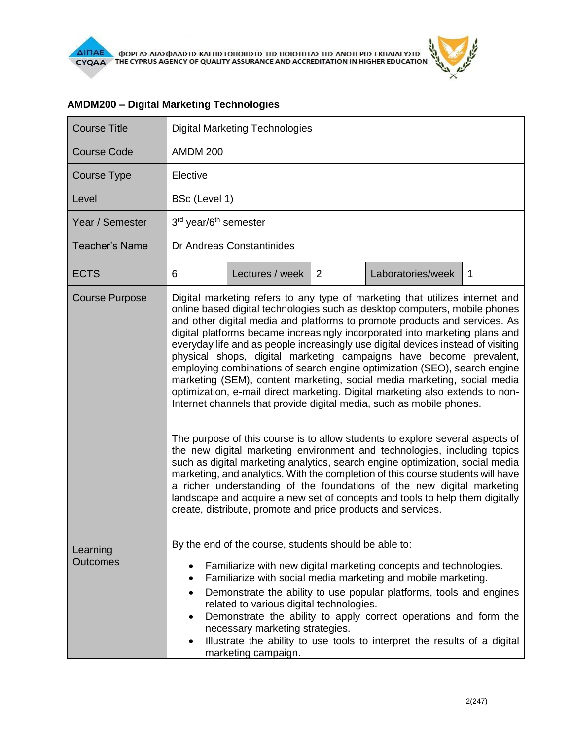| <b>Course Title</b>         | <b>Digital Marketing Technologies</b>                                                                                                                                                                                                                                                                                                                                                                                                                                                                                                                                                                                                                                                                                                                                                                                                                                                                                                                                                                                                                                                                                                                                                                                                                                                                                                                          |                                                                                                                                                             |   |                                                                                                                                                                                                                                                                                                                                                            |   |
|-----------------------------|----------------------------------------------------------------------------------------------------------------------------------------------------------------------------------------------------------------------------------------------------------------------------------------------------------------------------------------------------------------------------------------------------------------------------------------------------------------------------------------------------------------------------------------------------------------------------------------------------------------------------------------------------------------------------------------------------------------------------------------------------------------------------------------------------------------------------------------------------------------------------------------------------------------------------------------------------------------------------------------------------------------------------------------------------------------------------------------------------------------------------------------------------------------------------------------------------------------------------------------------------------------------------------------------------------------------------------------------------------------|-------------------------------------------------------------------------------------------------------------------------------------------------------------|---|------------------------------------------------------------------------------------------------------------------------------------------------------------------------------------------------------------------------------------------------------------------------------------------------------------------------------------------------------------|---|
| <b>Course Code</b>          | <b>AMDM 200</b>                                                                                                                                                                                                                                                                                                                                                                                                                                                                                                                                                                                                                                                                                                                                                                                                                                                                                                                                                                                                                                                                                                                                                                                                                                                                                                                                                |                                                                                                                                                             |   |                                                                                                                                                                                                                                                                                                                                                            |   |
| Course Type                 | Elective                                                                                                                                                                                                                                                                                                                                                                                                                                                                                                                                                                                                                                                                                                                                                                                                                                                                                                                                                                                                                                                                                                                                                                                                                                                                                                                                                       |                                                                                                                                                             |   |                                                                                                                                                                                                                                                                                                                                                            |   |
| Level                       | BSc (Level 1)                                                                                                                                                                                                                                                                                                                                                                                                                                                                                                                                                                                                                                                                                                                                                                                                                                                                                                                                                                                                                                                                                                                                                                                                                                                                                                                                                  |                                                                                                                                                             |   |                                                                                                                                                                                                                                                                                                                                                            |   |
| Year / Semester             | 3rd year/6 <sup>th</sup> semester                                                                                                                                                                                                                                                                                                                                                                                                                                                                                                                                                                                                                                                                                                                                                                                                                                                                                                                                                                                                                                                                                                                                                                                                                                                                                                                              |                                                                                                                                                             |   |                                                                                                                                                                                                                                                                                                                                                            |   |
| <b>Teacher's Name</b>       | Dr Andreas Constantinides                                                                                                                                                                                                                                                                                                                                                                                                                                                                                                                                                                                                                                                                                                                                                                                                                                                                                                                                                                                                                                                                                                                                                                                                                                                                                                                                      |                                                                                                                                                             |   |                                                                                                                                                                                                                                                                                                                                                            |   |
| <b>ECTS</b>                 | 6                                                                                                                                                                                                                                                                                                                                                                                                                                                                                                                                                                                                                                                                                                                                                                                                                                                                                                                                                                                                                                                                                                                                                                                                                                                                                                                                                              | Lectures / week                                                                                                                                             | 2 | Laboratories/week                                                                                                                                                                                                                                                                                                                                          | 1 |
| <b>Course Purpose</b>       | Digital marketing refers to any type of marketing that utilizes internet and<br>online based digital technologies such as desktop computers, mobile phones<br>and other digital media and platforms to promote products and services. As<br>digital platforms became increasingly incorporated into marketing plans and<br>everyday life and as people increasingly use digital devices instead of visiting<br>physical shops, digital marketing campaigns have become prevalent,<br>employing combinations of search engine optimization (SEO), search engine<br>marketing (SEM), content marketing, social media marketing, social media<br>optimization, e-mail direct marketing. Digital marketing also extends to non-<br>Internet channels that provide digital media, such as mobile phones.<br>The purpose of this course is to allow students to explore several aspects of<br>the new digital marketing environment and technologies, including topics<br>such as digital marketing analytics, search engine optimization, social media<br>marketing, and analytics. With the completion of this course students will have<br>a richer understanding of the foundations of the new digital marketing<br>landscape and acquire a new set of concepts and tools to help them digitally<br>create, distribute, promote and price products and services. |                                                                                                                                                             |   |                                                                                                                                                                                                                                                                                                                                                            |   |
| Learning<br><b>Outcomes</b> | ٠<br>٠<br>$\bullet$<br>$\bullet$<br>$\bullet$                                                                                                                                                                                                                                                                                                                                                                                                                                                                                                                                                                                                                                                                                                                                                                                                                                                                                                                                                                                                                                                                                                                                                                                                                                                                                                                  | By the end of the course, students should be able to:<br>related to various digital technologies.<br>necessary marketing strategies.<br>marketing campaign. |   | Familiarize with new digital marketing concepts and technologies.<br>Familiarize with social media marketing and mobile marketing.<br>Demonstrate the ability to use popular platforms, tools and engines<br>Demonstrate the ability to apply correct operations and form the<br>Illustrate the ability to use tools to interpret the results of a digital |   |

## **AMDM200 – Digital Marketing Technologies**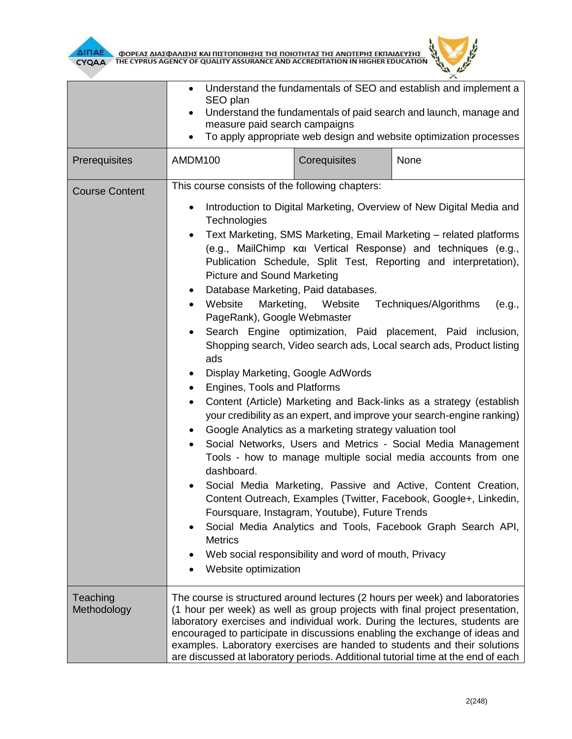

|                         | Understand the fundamentals of SEO and establish and implement a<br>SEO plan<br>Understand the fundamentals of paid search and launch, manage and<br>$\bullet$<br>measure paid search campaigns<br>To apply appropriate web design and website optimization processes<br>٠                                                                                                                                                                                                                  |                                                                                                                                                                                                               |                                                                                                                                                                                                                                                                                                                                                                                                                                                                                                                                                                                                                                                                                                                                                                                                                                                                                                                          |  |  |
|-------------------------|---------------------------------------------------------------------------------------------------------------------------------------------------------------------------------------------------------------------------------------------------------------------------------------------------------------------------------------------------------------------------------------------------------------------------------------------------------------------------------------------|---------------------------------------------------------------------------------------------------------------------------------------------------------------------------------------------------------------|--------------------------------------------------------------------------------------------------------------------------------------------------------------------------------------------------------------------------------------------------------------------------------------------------------------------------------------------------------------------------------------------------------------------------------------------------------------------------------------------------------------------------------------------------------------------------------------------------------------------------------------------------------------------------------------------------------------------------------------------------------------------------------------------------------------------------------------------------------------------------------------------------------------------------|--|--|
| Prerequisites           | AMDM100                                                                                                                                                                                                                                                                                                                                                                                                                                                                                     | Corequisites                                                                                                                                                                                                  | None                                                                                                                                                                                                                                                                                                                                                                                                                                                                                                                                                                                                                                                                                                                                                                                                                                                                                                                     |  |  |
| <b>Course Content</b>   | This course consists of the following chapters:<br>٠<br>Technologies<br>$\bullet$<br><b>Picture and Sound Marketing</b><br>Database Marketing, Paid databases.<br>$\bullet$<br>Website<br>$\bullet$<br>PageRank), Google Webmaster<br>$\bullet$<br>ads<br>Display Marketing, Google AdWords<br>Engines, Tools and Platforms<br>$\bullet$<br>$\bullet$<br>$\bullet$<br>dashboard.<br>٠<br><b>Metrics</b><br>Website optimization                                                             | Marketing, Website Techniques/Algorithms<br>Google Analytics as a marketing strategy valuation tool<br>Foursquare, Instagram, Youtube), Future Trends<br>Web social responsibility and word of mouth, Privacy | Introduction to Digital Marketing, Overview of New Digital Media and<br>Text Marketing, SMS Marketing, Email Marketing – related platforms<br>(e.g., MailChimp kai Vertical Response) and techniques (e.g.,<br>Publication Schedule, Split Test, Reporting and interpretation),<br>(e.g.,<br>Search Engine optimization, Paid placement, Paid inclusion,<br>Shopping search, Video search ads, Local search ads, Product listing<br>Content (Article) Marketing and Back-links as a strategy (establish<br>your credibility as an expert, and improve your search-engine ranking)<br>Social Networks, Users and Metrics - Social Media Management<br>Tools - how to manage multiple social media accounts from one<br>Social Media Marketing, Passive and Active, Content Creation,<br>Content Outreach, Examples (Twitter, Facebook, Google+, Linkedin,<br>Social Media Analytics and Tools, Facebook Graph Search API, |  |  |
| Teaching<br>Methodology | The course is structured around lectures (2 hours per week) and laboratories<br>(1 hour per week) as well as group projects with final project presentation,<br>laboratory exercises and individual work. During the lectures, students are<br>encouraged to participate in discussions enabling the exchange of ideas and<br>examples. Laboratory exercises are handed to students and their solutions<br>are discussed at laboratory periods. Additional tutorial time at the end of each |                                                                                                                                                                                                               |                                                                                                                                                                                                                                                                                                                                                                                                                                                                                                                                                                                                                                                                                                                                                                                                                                                                                                                          |  |  |

 $\overline{L}$  $\times$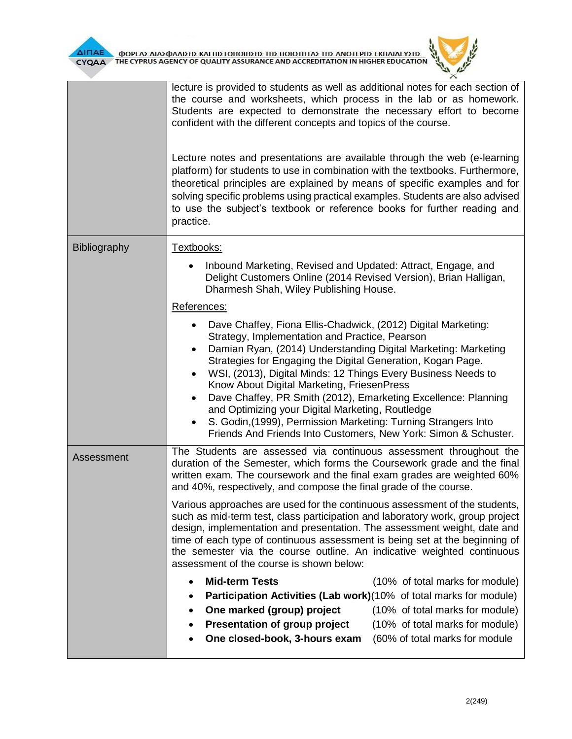



|                     | lecture is provided to students as well as additional notes for each section of<br>the course and worksheets, which process in the lab or as homework.<br>Students are expected to demonstrate the necessary effort to become<br>confident with the different concepts and topics of the course.<br>Lecture notes and presentations are available through the web (e-learning<br>platform) for students to use in combination with the textbooks. Furthermore,<br>theoretical principles are explained by means of specific examples and for                                                                                                                                                |  |  |  |
|---------------------|---------------------------------------------------------------------------------------------------------------------------------------------------------------------------------------------------------------------------------------------------------------------------------------------------------------------------------------------------------------------------------------------------------------------------------------------------------------------------------------------------------------------------------------------------------------------------------------------------------------------------------------------------------------------------------------------|--|--|--|
|                     | solving specific problems using practical examples. Students are also advised<br>to use the subject's textbook or reference books for further reading and<br>practice.                                                                                                                                                                                                                                                                                                                                                                                                                                                                                                                      |  |  |  |
| <b>Bibliography</b> | Textbooks:                                                                                                                                                                                                                                                                                                                                                                                                                                                                                                                                                                                                                                                                                  |  |  |  |
|                     | Inbound Marketing, Revised and Updated: Attract, Engage, and<br>Delight Customers Online (2014 Revised Version), Brian Halligan,<br>Dharmesh Shah, Wiley Publishing House.                                                                                                                                                                                                                                                                                                                                                                                                                                                                                                                  |  |  |  |
|                     | References:                                                                                                                                                                                                                                                                                                                                                                                                                                                                                                                                                                                                                                                                                 |  |  |  |
|                     | Dave Chaffey, Fiona Ellis-Chadwick, (2012) Digital Marketing:<br>$\bullet$<br>Strategy, Implementation and Practice, Pearson<br>Damian Ryan, (2014) Understanding Digital Marketing: Marketing<br>$\bullet$<br>Strategies for Engaging the Digital Generation, Kogan Page.<br>WSI, (2013), Digital Minds: 12 Things Every Business Needs to<br>$\bullet$<br>Know About Digital Marketing, FriesenPress<br>Dave Chaffey, PR Smith (2012), Emarketing Excellence: Planning<br>$\bullet$<br>and Optimizing your Digital Marketing, Routledge<br>S. Godin, (1999), Permission Marketing: Turning Strangers Into<br>$\bullet$<br>Friends And Friends Into Customers, New York: Simon & Schuster. |  |  |  |
| Assessment          | The Students are assessed via continuous assessment throughout the<br>duration of the Semester, which forms the Coursework grade and the final<br>written exam. The coursework and the final exam grades are weighted 60%<br>and 40%, respectively, and compose the final grade of the course.                                                                                                                                                                                                                                                                                                                                                                                              |  |  |  |
|                     | Various approaches are used for the continuous assessment of the students,<br>such as mid-term test, class participation and laboratory work, group project<br>design, implementation and presentation. The assessment weight, date and<br>time of each type of continuous assessment is being set at the beginning of<br>the semester via the course outline. An indicative weighted continuous<br>assessment of the course is shown below:                                                                                                                                                                                                                                                |  |  |  |
|                     | <b>Mid-term Tests</b><br>(10% of total marks for module)                                                                                                                                                                                                                                                                                                                                                                                                                                                                                                                                                                                                                                    |  |  |  |
|                     | <b>Participation Activities (Lab work)</b> (10% of total marks for module)                                                                                                                                                                                                                                                                                                                                                                                                                                                                                                                                                                                                                  |  |  |  |
|                     | One marked (group) project<br>(10% of total marks for module)<br>٠                                                                                                                                                                                                                                                                                                                                                                                                                                                                                                                                                                                                                          |  |  |  |
|                     | Presentation of group project<br>(10% of total marks for module)<br>٠<br>One closed-book, 3-hours exam<br>(60% of total marks for module                                                                                                                                                                                                                                                                                                                                                                                                                                                                                                                                                    |  |  |  |
|                     |                                                                                                                                                                                                                                                                                                                                                                                                                                                                                                                                                                                                                                                                                             |  |  |  |